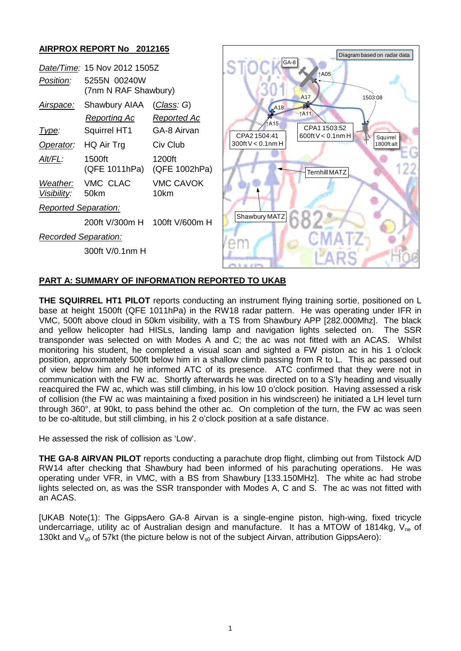# **AIRPROX REPORT No 2012165**

|                              |                         |                          | Diagram based on radar data                                              |
|------------------------------|-------------------------|--------------------------|--------------------------------------------------------------------------|
| Date/Time: 15 Nov 2012 1505Z |                         |                          | GA-8<br>↑A05                                                             |
| Position:                    | 5255N 00240W            |                          |                                                                          |
|                              | (7nm N RAF Shawbury)    |                          | A <sub>17</sub><br>1503:08                                               |
| Airspace:                    | Shawbury AIAA           | (Class: G)               | نچو<br><b>A18</b>                                                        |
|                              | <b>Reporting Ac</b>     | Reported Ac              | <b>TA11</b>                                                              |
| <u>Type:</u>                 | Squirrel HT1            | GA-8 Airvan              | ↑A15<br>CPA1 1503:52<br>CPA2 1504:41<br>600ft $V < 0.1$ nm H<br>Squirrel |
| Operator:                    | HQ Air Trg              | Civ Club                 | $300$ ft V < 0.1nm H<br>1800ft alt                                       |
| Alt/FL:                      | 1500ft<br>(QFE 1011hPa) | 1200ft<br>(QFE 1002hPa)  | Ternhill MATZ                                                            |
| Weather:<br>Visibility:      | VMC CLAC<br>50km        | <b>VMC CAVOK</b><br>10km |                                                                          |
| Reported Separation:         |                         |                          |                                                                          |
|                              | 200ft V/300m H          | 100ft V/600m H           | Shawbury MATZ                                                            |
| <b>Recorded Separation:</b>  |                         |                          |                                                                          |
|                              | 300ft V/0.1nm H         |                          |                                                                          |
|                              |                         |                          | <b>COLLECT</b>                                                           |

## **PART A: SUMMARY OF INFORMATION REPORTED TO UKAB**

**THE SQUIRREL HT1 PILOT** reports conducting an instrument flying training sortie, positioned on L base at height 1500ft (QFE 1011hPa) in the RW18 radar pattern. He was operating under IFR in VMC, 500ft above cloud in 50km visibility, with a TS from Shawbury APP [282.000Mhz]. The black and yellow helicopter had HISLs, landing lamp and navigation lights selected on. The SSR transponder was selected on with Modes A and C; the ac was not fitted with an ACAS. Whilst monitoring his student, he completed a visual scan and sighted a FW piston ac in his 1 o'clock position, approximately 500ft below him in a shallow climb passing from R to L. This ac passed out of view below him and he informed ATC of its presence. ATC confirmed that they were not in communication with the FW ac. Shortly afterwards he was directed on to a S'ly heading and visually reacquired the FW ac, which was still climbing, in his low 10 o'clock position. Having assessed a risk of collision (the FW ac was maintaining a fixed position in his windscreen) he initiated a LH level turn through 360°, at 90kt, to pass behind the other ac. On completion of the turn, the FW ac was seen to be co-altitude, but still climbing, in his 2 o'clock position at a safe distance.

He assessed the risk of collision as 'Low'.

**THE GA-8 AIRVAN PILOT** reports conducting a parachute drop flight, climbing out from Tilstock A/D RW14 after checking that Shawbury had been informed of his parachuting operations. He was operating under VFR, in VMC, with a BS from Shawbury [133.150MHz]. The white ac had strobe lights selected on, as was the SSR transponder with Modes A, C and S. The ac was not fitted with an ACAS.

[UKAB Note(1): The GippsAero GA-8 Airvan is a single-engine piston, high-wing, fixed tricycle undercarriage, utility ac of Australian design and manufacture. It has a MTOW of 1814kg,  $V_{ne}$  of 130kt and  $V_{s0}$  of 57kt (the picture below is not of the subject Airvan, attribution GippsAero):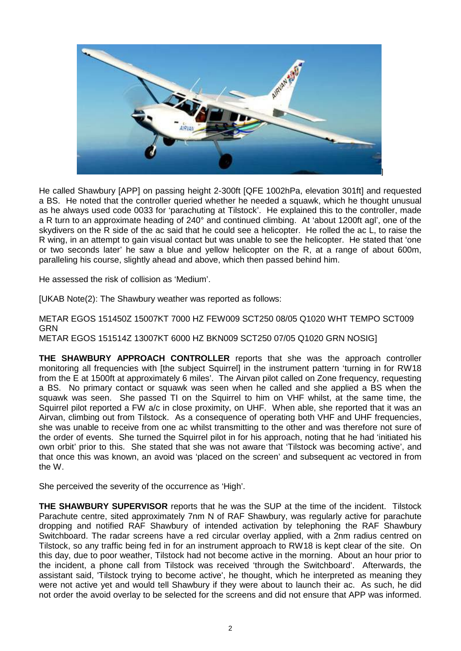

He called Shawbury [APP] on passing height 2-300ft [QFE 1002hPa, elevation 301ft] and requested a BS. He noted that the controller queried whether he needed a squawk, which he thought unusual as he always used code 0033 for 'parachuting at Tilstock'. He explained this to the controller, made a R turn to an approximate heading of 240° and continued climbing. At 'about 1200ft agl', one of the skydivers on the R side of the ac said that he could see a helicopter. He rolled the ac L, to raise the R wing, in an attempt to gain visual contact but was unable to see the helicopter. He stated that 'one or two seconds later' he saw a blue and yellow helicopter on the R, at a range of about 600m, paralleling his course, slightly ahead and above, which then passed behind him.

He assessed the risk of collision as 'Medium'.

[UKAB Note(2): The Shawbury weather was reported as follows:

METAR EGOS 151450Z 15007KT 7000 HZ FEW009 SCT250 08/05 Q1020 WHT TEMPO SCT009 GRN METAR EGOS 151514Z 13007KT 6000 HZ BKN009 SCT250 07/05 Q1020 GRN NOSIG]

**THE SHAWBURY APPROACH CONTROLLER** reports that she was the approach controller monitoring all frequencies with [the subject Squirrel] in the instrument pattern 'turning in for RW18 from the E at 1500ft at approximately 6 miles'. The Airvan pilot called on Zone frequency, requesting a BS. No primary contact or squawk was seen when he called and she applied a BS when the squawk was seen. She passed TI on the Squirrel to him on VHF whilst, at the same time, the Squirrel pilot reported a FW a/c in close proximity, on UHF. When able, she reported that it was an Airvan, climbing out from Tilstock. As a consequence of operating both VHF and UHF frequencies, she was unable to receive from one ac whilst transmitting to the other and was therefore not sure of the order of events. She turned the Squirrel pilot in for his approach, noting that he had 'initiated his own orbit' prior to this. She stated that she was not aware that 'Tilstock was becoming active', and that once this was known, an avoid was 'placed on the screen' and subsequent ac vectored in from the W.

She perceived the severity of the occurrence as 'High'.

**THE SHAWBURY SUPERVISOR** reports that he was the SUP at the time of the incident. Tilstock Parachute centre, sited approximately 7nm N of RAF Shawbury, was regularly active for parachute dropping and notified RAF Shawbury of intended activation by telephoning the RAF Shawbury Switchboard. The radar screens have a red circular overlay applied, with a 2nm radius centred on Tilstock, so any traffic being fed in for an instrument approach to RW18 is kept clear of the site. On this day, due to poor weather, Tilstock had not become active in the morning. About an hour prior to the incident, a phone call from Tilstock was received 'through the Switchboard'. Afterwards, the assistant said, 'Tilstock trying to become active', he thought, which he interpreted as meaning they were not active yet and would tell Shawbury if they were about to launch their ac. As such, he did not order the avoid overlay to be selected for the screens and did not ensure that APP was informed.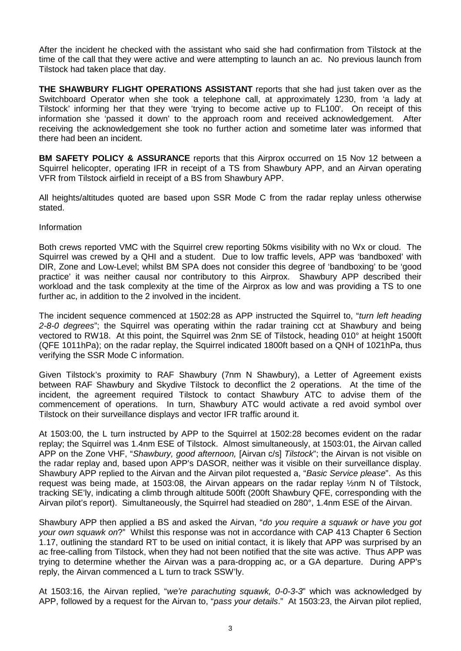After the incident he checked with the assistant who said she had confirmation from Tilstock at the time of the call that they were active and were attempting to launch an ac. No previous launch from Tilstock had taken place that day.

**THE SHAWBURY FLIGHT OPERATIONS ASSISTANT** reports that she had just taken over as the Switchboard Operator when she took a telephone call, at approximately 1230, from 'a lady at Tilstock' informing her that they were 'trying to become active up to FL100'. On receipt of this information she 'passed it down' to the approach room and received acknowledgement. After receiving the acknowledgement she took no further action and sometime later was informed that there had been an incident.

**BM SAFETY POLICY & ASSURANCE** reports that this Airprox occurred on 15 Nov 12 between a Squirrel helicopter, operating IFR in receipt of a TS from Shawbury APP, and an Airvan operating VFR from Tilstock airfield in receipt of a BS from Shawbury APP.

All heights/altitudes quoted are based upon SSR Mode C from the radar replay unless otherwise stated.

### Information

Both crews reported VMC with the Squirrel crew reporting 50kms visibility with no Wx or cloud. The Squirrel was crewed by a QHI and a student. Due to low traffic levels, APP was 'bandboxed' with DIR, Zone and Low-Level; whilst BM SPA does not consider this degree of 'bandboxing' to be 'good practice' it was neither causal nor contributory to this Airprox. Shawbury APP described their workload and the task complexity at the time of the Airprox as low and was providing a TS to one further ac, in addition to the 2 involved in the incident.

The incident sequence commenced at 1502:28 as APP instructed the Squirrel to, "*turn left heading 2-8-0 degrees*"; the Squirrel was operating within the radar training cct at Shawbury and being vectored to RW18. At this point, the Squirrel was 2nm SE of Tilstock, heading 010° at height 1500ft (QFE 1011hPa); on the radar replay, the Squirrel indicated 1800ft based on a QNH of 1021hPa, thus verifying the SSR Mode C information.

Given Tilstock's proximity to RAF Shawbury (7nm N Shawbury), a Letter of Agreement exists between RAF Shawbury and Skydive Tilstock to deconflict the 2 operations. At the time of the incident, the agreement required Tilstock to contact Shawbury ATC to advise them of the commencement of operations. In turn, Shawbury ATC would activate a red avoid symbol over Tilstock on their surveillance displays and vector IFR traffic around it.

At 1503:00, the L turn instructed by APP to the Squirrel at 1502:28 becomes evident on the radar replay; the Squirrel was 1.4nm ESE of Tilstock. Almost simultaneously, at 1503:01, the Airvan called APP on the Zone VHF, "*Shawbury, good afternoon,* [Airvan c/s] *Tilstock*"; the Airvan is not visible on the radar replay and, based upon APP's DASOR, neither was it visible on their surveillance display. Shawbury APP replied to the Airvan and the Airvan pilot requested a, "*Basic Service please*". As this request was being made, at 1503:08, the Airvan appears on the radar replay ½nm N of Tilstock, tracking SE'ly, indicating a climb through altitude 500ft (200ft Shawbury QFE, corresponding with the Airvan pilot's report). Simultaneously, the Squirrel had steadied on 280°, 1.4nm ESE of the Airvan.

Shawbury APP then applied a BS and asked the Airvan, "*do you require a squawk or have you got your own squawk on*?" Whilst this response was not in accordance with CAP 413 Chapter 6 Section 1.17, outlining the standard RT to be used on initial contact, it is likely that APP was surprised by an ac free-calling from Tilstock, when they had not been notified that the site was active. Thus APP was trying to determine whether the Airvan was a para-dropping ac, or a GA departure. During APP's reply, the Airvan commenced a L turn to track SSW'ly.

At 1503:16, the Airvan replied, "*we're parachuting squawk, 0-0-3-3*" which was acknowledged by APP, followed by a request for the Airvan to, "*pass your details*." At 1503:23, the Airvan pilot replied,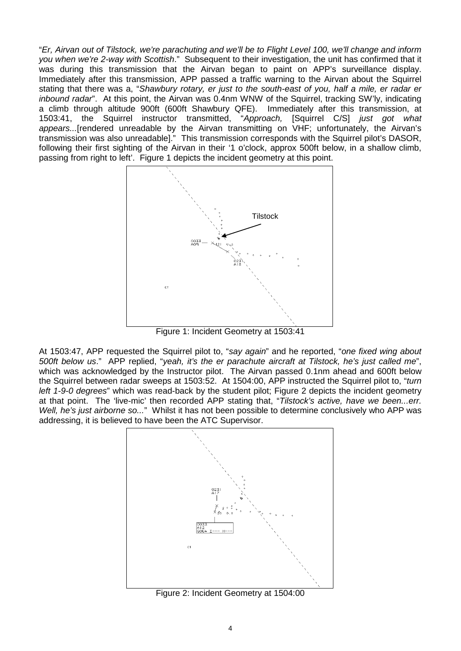"*Er, Airvan out of Tilstock, we're parachuting and we'll be to Flight Level 100, we'll change and inform you when we're 2-way with Scottish*." Subsequent to their investigation, the unit has confirmed that it was during this transmission that the Airvan began to paint on APP's surveillance display. Immediately after this transmission, APP passed a traffic warning to the Airvan about the Squirrel stating that there was a, "*Shawbury rotary, er just to the south-east of you, half a mile, er radar er inbound radar*". At this point, the Airvan was 0.4nm WNW of the Squirrel, tracking SW'ly, indicating a climb through altitude 900ft (600ft Shawbury QFE). Immediately after this transmission, at 1503:41, the Squirrel instructor transmitted, "*Approach,* [Squirrel C/S] *just got what appears...*[rendered unreadable by the Airvan transmitting on VHF; unfortunately, the Airvan's transmission was also unreadable]." This transmission corresponds with the Squirrel pilot's DASOR, following their first sighting of the Airvan in their '1 o'clock, approx 500ft below, in a shallow climb, passing from right to left'. Figure 1 depicts the incident geometry at this point.



At 1503:47, APP requested the Squirrel pilot to, "*say again*" and he reported, "*one fixed wing about 500ft below us*." APP replied, "*yeah, it's the er parachute aircraft at Tilstock, he's just called me*", which was acknowledged by the Instructor pilot. The Airvan passed 0.1nm ahead and 600ft below the Squirrel between radar sweeps at 1503:52. At 1504:00, APP instructed the Squirrel pilot to, "*turn left 1-9-0 degrees*" which was read-back by the student pilot; Figure 2 depicts the incident geometry at that point. The 'live-mic' then recorded APP stating that, "Tilstock's active, have we been...err.

*Well, he's just airborne so...*" Whilst it has not been possible to determine conclusively who APP was



Figure 2: Incident Geometry at 1504:00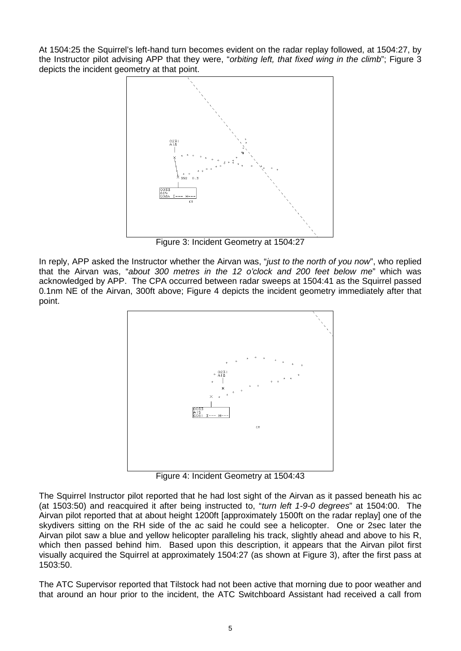At 1504:25 the Squirrel's left-hand turn becomes evident on the radar replay followed, at 1504:27, by the Instructor pilot advising APP that they were, "*orbiting left, that fixed wing in the climb*"; Figure 3 depicts the incident geometry at that point.



Figure 3: Incident Geometry at 1504:27

In reply, APP asked the Instructor whether the Airvan was, "*just to the north of you now*", who replied that the Airvan was, "*about 300 metres in the 12 o'clock and 200 feet below me*" which was acknowledged by APP. The CPA occurred between radar sweeps at 1504:41 as the Squirrel passed 0.1nm NE of the Airvan, 300ft above; Figure 4 depicts the incident geometry immediately after that point.



Figure 4: Incident Geometry at 1504:43

The Squirrel Instructor pilot reported that he had lost sight of the Airvan as it passed beneath his ac (at 1503:50) and reacquired it after being instructed to, "*turn left 1-9-0 degrees*" at 1504:00. The Airvan pilot reported that at about height 1200ft [approximately 1500ft on the radar replay] one of the skydivers sitting on the RH side of the ac said he could see a helicopter. One or 2sec later the Airvan pilot saw a blue and yellow helicopter paralleling his track, slightly ahead and above to his R, which then passed behind him. Based upon this description, it appears that the Airvan pilot first visually acquired the Squirrel at approximately 1504:27 (as shown at Figure 3), after the first pass at 1503:50.

The ATC Supervisor reported that Tilstock had not been active that morning due to poor weather and that around an hour prior to the incident, the ATC Switchboard Assistant had received a call from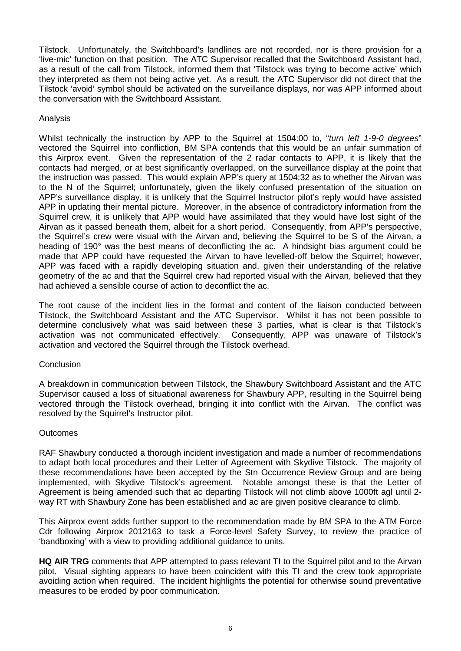Tilstock. Unfortunately, the Switchboard's landlines are not recorded, nor is there provision for a 'live-mic' function on that position. The ATC Supervisor recalled that the Switchboard Assistant had, as a result of the call from Tilstock, informed them that 'Tilstock was trying to become active' which they interpreted as them not being active yet. As a result, the ATC Supervisor did not direct that the Tilstock 'avoid' symbol should be activated on the surveillance displays, nor was APP informed about the conversation with the Switchboard Assistant.

## Analysis

Whilst technically the instruction by APP to the Squirrel at 1504:00 to, "*turn left 1-9-0 degrees*" vectored the Squirrel into confliction, BM SPA contends that this would be an unfair summation of this Airprox event. Given the representation of the 2 radar contacts to APP, it is likely that the contacts had merged, or at best significantly overlapped, on the surveillance display at the point that the instruction was passed. This would explain APP's query at 1504:32 as to whether the Airvan was to the N of the Squirrel; unfortunately, given the likely confused presentation of the situation on APP's surveillance display, it is unlikely that the Squirrel Instructor pilot's reply would have assisted APP in updating their mental picture. Moreover, in the absence of contradictory information from the Squirrel crew, it is unlikely that APP would have assimilated that they would have lost sight of the Airvan as it passed beneath them, albeit for a short period. Consequently, from APP's perspective, the Squirrel's crew were visual with the Airvan and, believing the Squirrel to be S of the Airvan, a heading of 190° was the best means of deconflicting the ac. A hindsight bias argument could be made that APP could have requested the Airvan to have levelled-off below the Squirrel; however, APP was faced with a rapidly developing situation and, given their understanding of the relative geometry of the ac and that the Squirrel crew had reported visual with the Airvan, believed that they had achieved a sensible course of action to deconflict the ac.

The root cause of the incident lies in the format and content of the liaison conducted between Tilstock, the Switchboard Assistant and the ATC Supervisor. Whilst it has not been possible to determine conclusively what was said between these 3 parties, what is clear is that Tilstock's activation was not communicated effectively. Consequently, APP was unaware of Tilstock's activation and vectored the Squirrel through the Tilstock overhead.

## **Conclusion**

A breakdown in communication between Tilstock, the Shawbury Switchboard Assistant and the ATC Supervisor caused a loss of situational awareness for Shawbury APP, resulting in the Squirrel being vectored through the Tilstock overhead, bringing it into conflict with the Airvan. The conflict was resolved by the Squirrel's Instructor pilot.

### **Outcomes**

RAF Shawbury conducted a thorough incident investigation and made a number of recommendations to adapt both local procedures and their Letter of Agreement with Skydive Tilstock. The majority of these recommendations have been accepted by the Stn Occurrence Review Group and are being implemented, with Skydive Tilstock's agreement. Notable amongst these is that the Letter of Agreement is being amended such that ac departing Tilstock will not climb above 1000ft agl until 2 way RT with Shawbury Zone has been established and ac are given positive clearance to climb.

This Airprox event adds further support to the recommendation made by BM SPA to the ATM Force Cdr following Airprox 2012163 to task a Force-level Safety Survey, to review the practice of 'bandboxing' with a view to providing additional guidance to units.

**HQ AIR TRG** comments that APP attempted to pass relevant TI to the Squirrel pilot and to the Airvan pilot. Visual sighting appears to have been coincident with this TI and the crew took appropriate avoiding action when required. The incident highlights the potential for otherwise sound preventative measures to be eroded by poor communication.